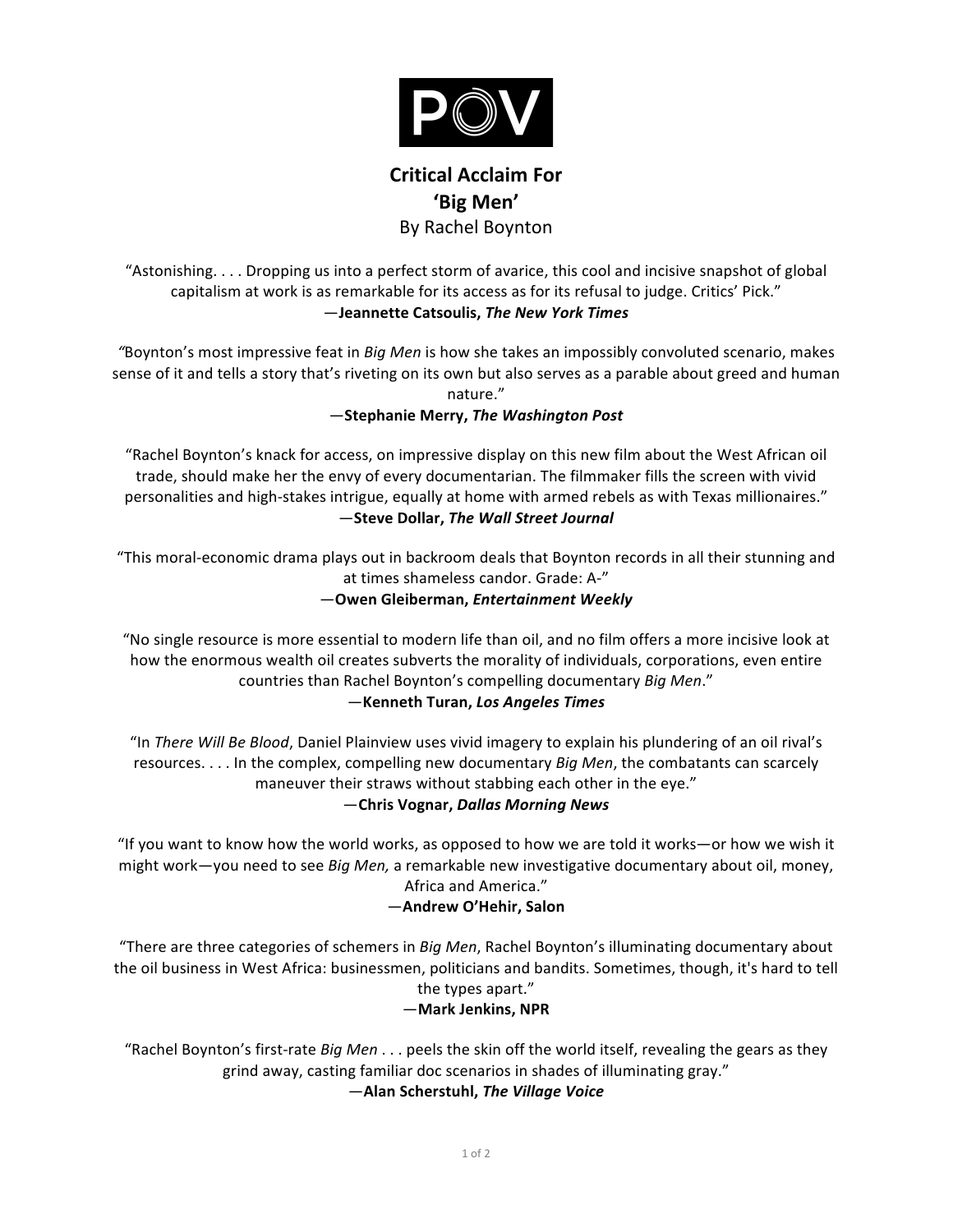

# **Critical Acclaim For 'Big Men'** By Rachel Boynton

"Astonishing. . . . Dropping us into a perfect storm of avarice, this cool and incisive snapshot of global capitalism at work is as remarkable for its access as for its refusal to judge. Critics' Pick." —**Jeannette Catsoulis,** *The New York Times*

"Boynton's most impressive feat in *Big Men* is how she takes an impossibly convoluted scenario, makes sense of it and tells a story that's riveting on its own but also serves as a parable about greed and human nature."

## —**Stephanie Merry,** *The Washington Post*

"Rachel Boynton's knack for access, on impressive display on this new film about the West African oil trade, should make her the envy of every documentarian. The filmmaker fills the screen with vivid personalities and high-stakes intrigue, equally at home with armed rebels as with Texas millionaires." —**Steve Dollar,** *The Wall Street Journal*

"This moral-economic drama plays out in backroom deals that Boynton records in all their stunning and at times shameless candor. Grade: A-"

#### —**Owen Gleiberman,** *Entertainment Weekly*

"No single resource is more essential to modern life than oil, and no film offers a more incisive look at how the enormous wealth oil creates subverts the morality of individuals, corporations, even entire countries than Rachel Boynton's compelling documentary *Big Men.*"

#### —**Kenneth Turan,** *Los Angeles Times*

"In There Will Be Blood, Daniel Plainview uses vivid imagery to explain his plundering of an oil rival's resources. . . . In the complex, compelling new documentary *Big Men*, the combatants can scarcely maneuver their straws without stabbing each other in the eye."

#### —**Chris Vognar,** *Dallas Morning News*

"If you want to know how the world works, as opposed to how we are told it works—or how we wish it might work-you need to see *Big Men,* a remarkable new investigative documentary about oil, money, Africa and America."

#### —**Andrew O'Hehir, Salon**

"There are three categories of schemers in *Big Men*, Rachel Boynton's illuminating documentary about the oil business in West Africa: businessmen, politicians and bandits. Sometimes, though, it's hard to tell the types apart."

#### —**Mark Jenkins, NPR**

"Rachel Boynton's first-rate *Big Men* . . . peels the skin off the world itself, revealing the gears as they grind away, casting familiar doc scenarios in shades of illuminating gray."

—**Alan Scherstuhl,** *The Village Voice*